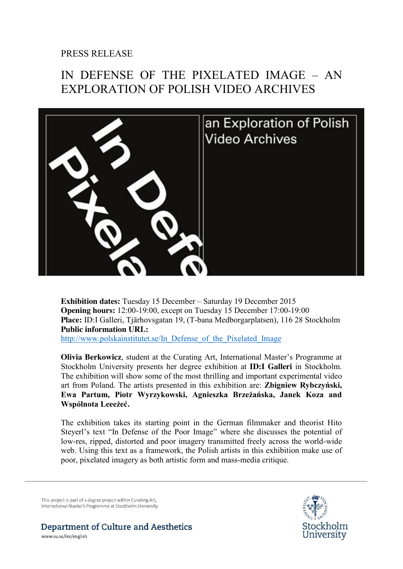## PRESS RELEASE

## IN DEFENSE OF THE PIXELATED IMAGE – AN EXPLORATION OF POLISH VIDEO ARCHIVES



**Exhibition dates:** Tuesday 15 December – Saturday 19 December 2015 **Opening hours:** 12:00-19:00, except on Tuesday 15 December 17:00-19:00 **Place:** ID:I Galleri, Tjärhovsgatan 19, (T-bana Medborgarplatsen), 116 28 Stockholm **Public information URL:** http://www.polskainstitutet.se/In\_Defense\_of\_the\_Pixelated\_Image

**Olivia Berkowicz**, student at the Curating Art, International Master's Programme at Stockholm University presents her degree exhibition at **ID:I Galleri** in Stockholm. The exhibition will show some of the most thrilling and important experimental video art from Poland. The artists presented in this exhibition are: **Zbigniew Rybczyński, Ewa Partum, Piotr Wyrzykowski, Agnieszka Brzeżańska, Janek Koza and Wspólnota Leeeżeć.** 

The exhibition takes its starting point in the German filmmaker and theorist Hito Steyerl's text "In Defense of the Poor Image" where she discusses the potential of low-res, ripped, distorted and poor imagery transmitted freely across the world-wide web. Using this text as a framework, the Polish artists in this exhibition make use of poor, pixelated imagery as both artistic form and mass-media critique.

This project is part of a degree project within Curating Art, International Master's Programme at Stockholm University. Stockholm University

Department of Culture and Aesthetics

www.su.se/ike/english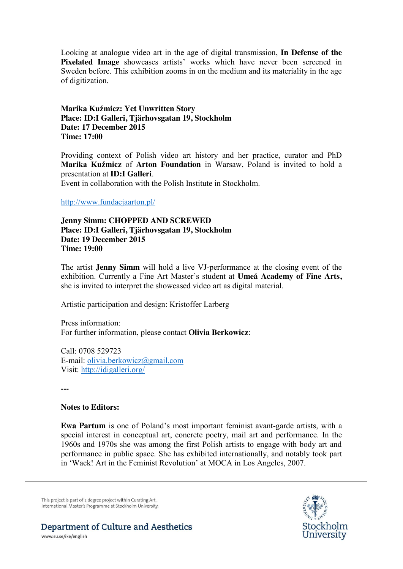Looking at analogue video art in the age of digital transmission, **In Defense of the Pixelated Image** showcases artists' works which have never been screened in Sweden before. This exhibition zooms in on the medium and its materiality in the age of digitization.

**Marika Kuźmicz: Yet Unwritten Story Place: ID:I Galleri, Tjärhovsgatan 19, Stockholm Date: 17 December 2015 Time: 17:00**

Providing context of Polish video art history and her practice, curator and PhD **Marika Kuźmicz** of **Arton Foundation** in Warsaw, Poland is invited to hold a presentation at **ID:I Galleri**.

Event in collaboration with the Polish Institute in Stockholm.

http://www.fundacjaarton.pl/

**Jenny Simm: CHOPPED AND SCREWED Place: ID:I Galleri, Tjärhovsgatan 19, Stockholm Date: 19 December 2015 Time: 19:00**

The artist **Jenny Simm** will hold a live VJ-performance at the closing event of the exhibition. Currently a Fine Art Master's student at **Umeå Academy of Fine Arts,** she is invited to interpret the showcased video art as digital material.

Artistic participation and design: Kristoffer Larberg

Press information: For further information, please contact **Olivia Berkowicz**:

Call: 0708 529723 E-mail: olivia.berkowicz@gmail.com Visit: http://idigalleri.org/

**---**

## **Notes to Editors:**

**Ewa Partum** is one of Poland's most important feminist avant-garde artists, with a special interest in conceptual art, concrete poetry, mail art and performance. In the 1960s and 1970s she was among the first Polish artists to engage with body art and performance in public space. She has exhibited internationally, and notably took part in 'Wack! Art in the Feminist Revolution' at MOCA in Los Angeles, 2007.

This project is part of a degree project within Curating Art, International Master's Programme at Stockholm University.